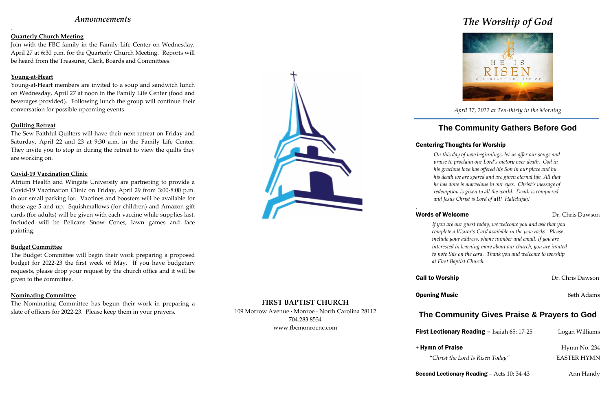## *Announcements*

.

### **Quarterly Church Meeting**

Join with the FBC family in the Family Life Center on Wednesday, April 27 at 6:30 p.m. for the Quarterly Church Meeting. Reports will be heard from the Treasurer, Clerk, Boards and Committees.

### **Young-at-Heart**

Young-at-Heart members are invited to a soup and sandwich lunch on Wednesday, April 27 at noon in the Family Life Center (food and beverages provided). Following lunch the group will continue their conversation for possible upcoming events.

### **Quilting Retreat**

The Sew Faithful Quilters will have their next retreat on Friday and Saturday, April 22 and 23 at 9:30 a.m. in the Family Life Center. They invite you to stop in during the retreat to view the quilts they are working on.

### **Covid-19 Vaccination Clinic**

Atrium Health and Wingate University are partnering to provide a Covid-19 Vaccination Clinic on Friday, April 29 from 3:00-8:00 p.m. in our small parking lot. Vaccines and boosters will be available for those age 5 and up. Squishmallows (for children) and Amazon gift cards (for adults) will be given with each vaccine while supplies last. Included will be Pelicans Snow Cones, lawn games and face painting.

### **Budget Committee**

The Budget Committee will begin their work preparing a proposed budget for 2022-23 the first week of May. If you have budgetary requests, please drop your request by the church office and it will be given to the committee.

### **Nominating Committee**

The Nominating Committee has begun their work in preparing a slate of officers for 2022-23. Please keep them in your prayers.



### **FIRST BAPTIST CHURCH**

109 Morrow Avenue · Monroe · North Carolina 28112 704.283.8534 www.fbcmonroenc.com

# *The Worship of God*



*April 17, 2022 at Ten-thirty in the Morning*

## **The Community Gathers Before God**

## Centering Thoughts for Worship

*On this day of new beginnings, let us offer our songs and praise to proclaim our Lord's victory over death. God in his gracious love has offered his Son in our place and by his death we are spared and are given eternal life. All that he has done is marvelous in our eyes. Christ's message of redemption is given to all the world. Death is conquered and Jesus Christ is Lord of all! Hallelujah!*

*.*

## Words of Welcome Dr. Chris Dawson

## **Call to Worship Dr. Chris Dawson**

**First Lectionary Reading – Isaiah 65: 17-25** Logan Williams

**Second Lectionary Reading** – Acts  $10:34-43$  Ann Handy

*If you are our guest today, we welcome you and ask that you complete a Visitor's Card available in the pew racks. Please include your address, phone number and email. If you are interested in learning more about our church, you are invited to note this on the card. Thank you and welcome to worship at First Baptist Church.*

## **The Community Gives Praise & Prayers to God**

*"Christ the Lord Is Risen Today"* EASTER HYMN

**Opening Music** Beth Adams

+ Hymn of Praise Hymn No. 234